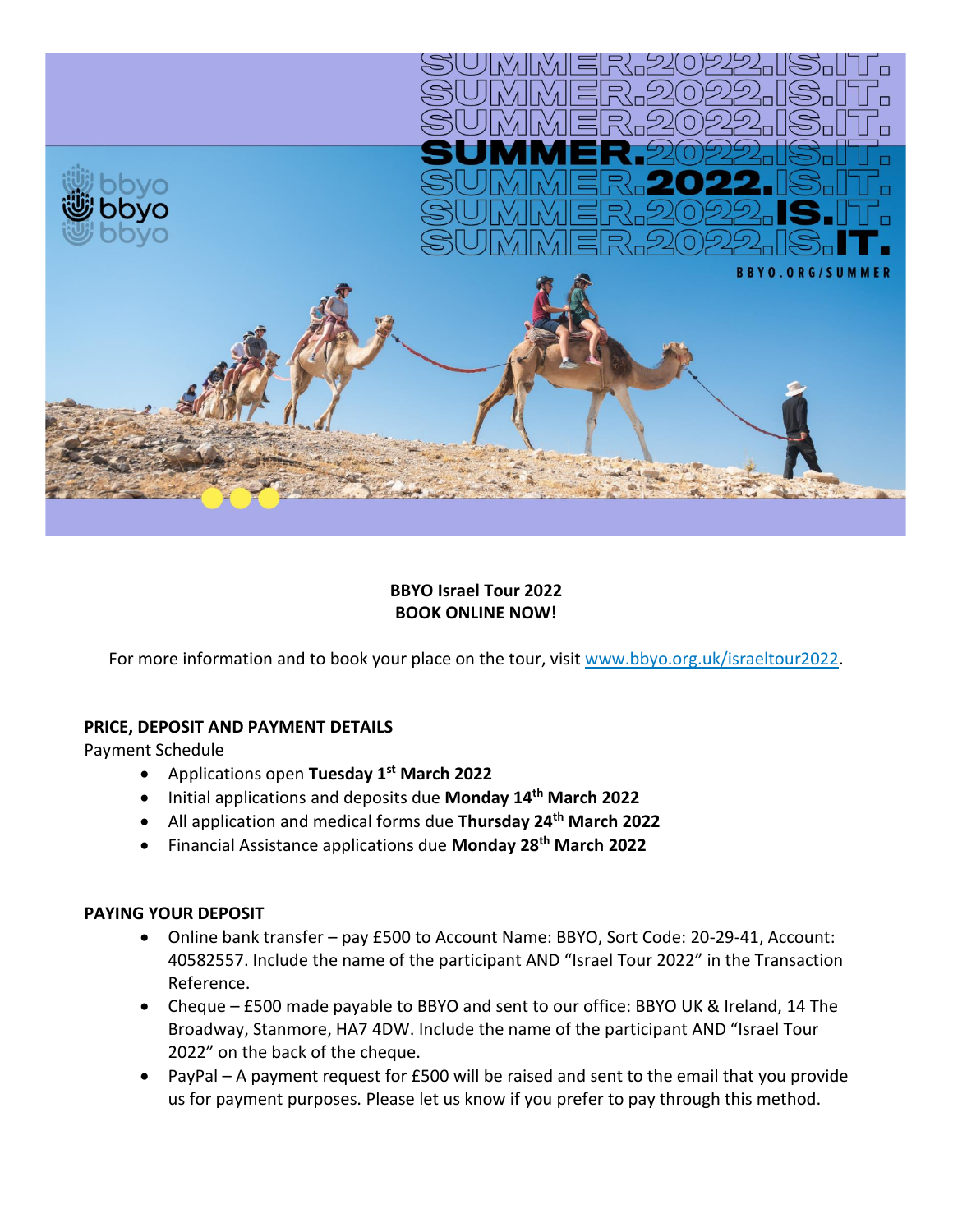

# **BBYO Israel Tour 2022 BOOK ONLINE NOW!**

For more information and to book your place on the tour, visit [www.bbyo.org.uk/israeltour2022.](http://www.bbyo.org.uk/israeltour2022)

## **PRICE, DEPOSIT AND PAYMENT DETAILS**

Payment Schedule

- Applications open **Tuesday 1st March 2022**
- Initial applications and deposits due **Monday 14th March 2022**
- All application and medical forms due **Thursday 24th March 2022**
- Financial Assistance applications due **Monday 28th March 2022**

#### **PAYING YOUR DEPOSIT**

- Online bank transfer pay £500 to Account Name: BBYO, Sort Code: 20-29-41, Account: 40582557. Include the name of the participant AND "Israel Tour 2022" in the Transaction Reference.
- Cheque £500 made payable to BBYO and sent to our office: BBYO UK & Ireland, 14 The Broadway, Stanmore, HA7 4DW. Include the name of the participant AND "Israel Tour 2022" on the back of the cheque.
- PayPal A payment request for £500 will be raised and sent to the email that you provide us for payment purposes. Please let us know if you prefer to pay through this method.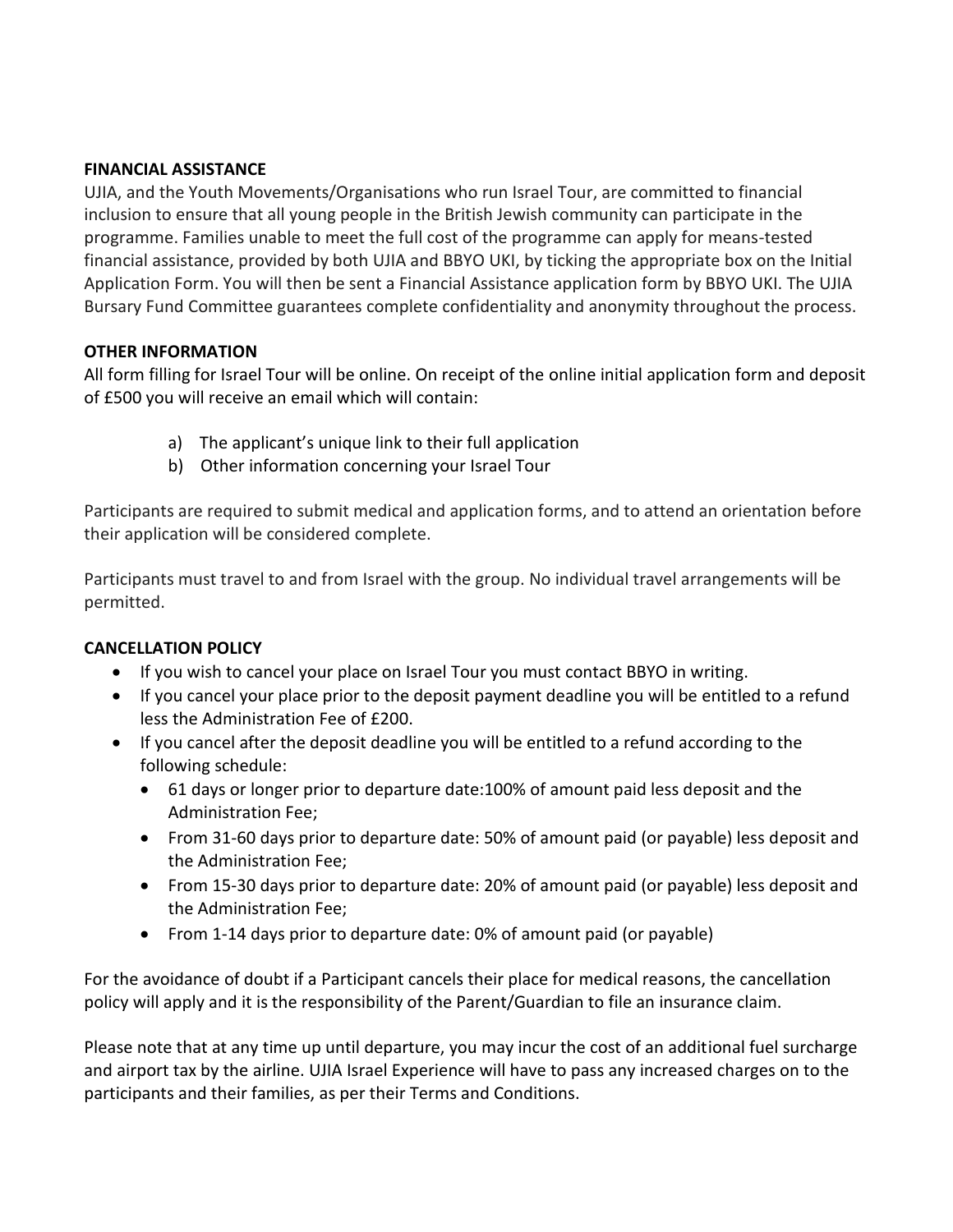### **FINANCIAL ASSISTANCE**

UJIA, and the Youth Movements/Organisations who run Israel Tour, are committed to financial inclusion to ensure that all young people in the British Jewish community can participate in the programme. Families unable to meet the full cost of the programme can apply for means-tested financial assistance, provided by both UJIA and BBYO UKI, by ticking the appropriate box on the Initial Application Form. You will then be sent a Financial Assistance application form by BBYO UKI. The UJIA Bursary Fund Committee guarantees complete confidentiality and anonymity throughout the process.

### **OTHER INFORMATION**

All form filling for Israel Tour will be online. On receipt of the online initial application form and deposit of £500 you will receive an email which will contain:

- a) The applicant's unique link to their full application
- b) Other information concerning your Israel Tour

Participants are required to submit medical and application forms, and to attend an orientation before their application will be considered complete.

Participants must travel to and from Israel with the group. No individual travel arrangements will be permitted.

## **CANCELLATION POLICY**

- If you wish to cancel your place on Israel Tour you must contact BBYO in writing.
- If you cancel your place prior to the deposit payment deadline you will be entitled to a refund less the Administration Fee of £200.
- If you cancel after the deposit deadline you will be entitled to a refund according to the following schedule:
	- 61 days or longer prior to departure date:100% of amount paid less deposit and the Administration Fee;
	- From 31-60 days prior to departure date: 50% of amount paid (or payable) less deposit and the Administration Fee;
	- From 15-30 days prior to departure date: 20% of amount paid (or payable) less deposit and the Administration Fee;
	- From 1-14 days prior to departure date: 0% of amount paid (or payable)

For the avoidance of doubt if a Participant cancels their place for medical reasons, the cancellation policy will apply and it is the responsibility of the Parent/Guardian to file an insurance claim.

Please note that at any time up until departure, you may incur the cost of an additional fuel surcharge and airport tax by the airline. UJIA Israel Experience will have to pass any increased charges on to the participants and their families, as per their Terms and Conditions.